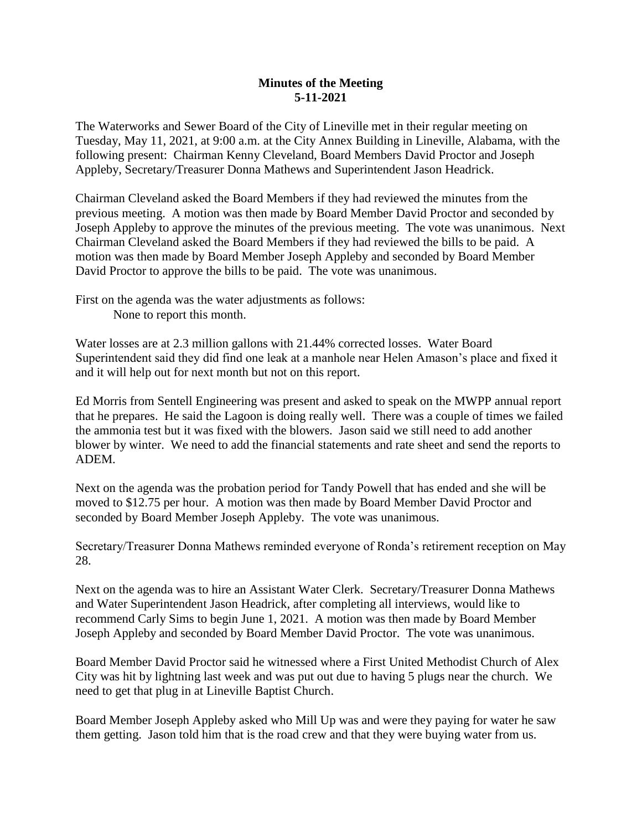## **Minutes of the Meeting 5-11-2021**

The Waterworks and Sewer Board of the City of Lineville met in their regular meeting on Tuesday, May 11, 2021, at 9:00 a.m. at the City Annex Building in Lineville, Alabama, with the following present: Chairman Kenny Cleveland, Board Members David Proctor and Joseph Appleby, Secretary/Treasurer Donna Mathews and Superintendent Jason Headrick.

Chairman Cleveland asked the Board Members if they had reviewed the minutes from the previous meeting. A motion was then made by Board Member David Proctor and seconded by Joseph Appleby to approve the minutes of the previous meeting. The vote was unanimous. Next Chairman Cleveland asked the Board Members if they had reviewed the bills to be paid. A motion was then made by Board Member Joseph Appleby and seconded by Board Member David Proctor to approve the bills to be paid. The vote was unanimous.

First on the agenda was the water adjustments as follows: None to report this month.

Water losses are at 2.3 million gallons with 21.44% corrected losses. Water Board Superintendent said they did find one leak at a manhole near Helen Amason's place and fixed it and it will help out for next month but not on this report.

Ed Morris from Sentell Engineering was present and asked to speak on the MWPP annual report that he prepares. He said the Lagoon is doing really well. There was a couple of times we failed the ammonia test but it was fixed with the blowers. Jason said we still need to add another blower by winter. We need to add the financial statements and rate sheet and send the reports to ADEM.

Next on the agenda was the probation period for Tandy Powell that has ended and she will be moved to \$12.75 per hour. A motion was then made by Board Member David Proctor and seconded by Board Member Joseph Appleby. The vote was unanimous.

Secretary/Treasurer Donna Mathews reminded everyone of Ronda's retirement reception on May 28.

Next on the agenda was to hire an Assistant Water Clerk. Secretary/Treasurer Donna Mathews and Water Superintendent Jason Headrick, after completing all interviews, would like to recommend Carly Sims to begin June 1, 2021. A motion was then made by Board Member Joseph Appleby and seconded by Board Member David Proctor. The vote was unanimous.

Board Member David Proctor said he witnessed where a First United Methodist Church of Alex City was hit by lightning last week and was put out due to having 5 plugs near the church. We need to get that plug in at Lineville Baptist Church.

Board Member Joseph Appleby asked who Mill Up was and were they paying for water he saw them getting. Jason told him that is the road crew and that they were buying water from us.